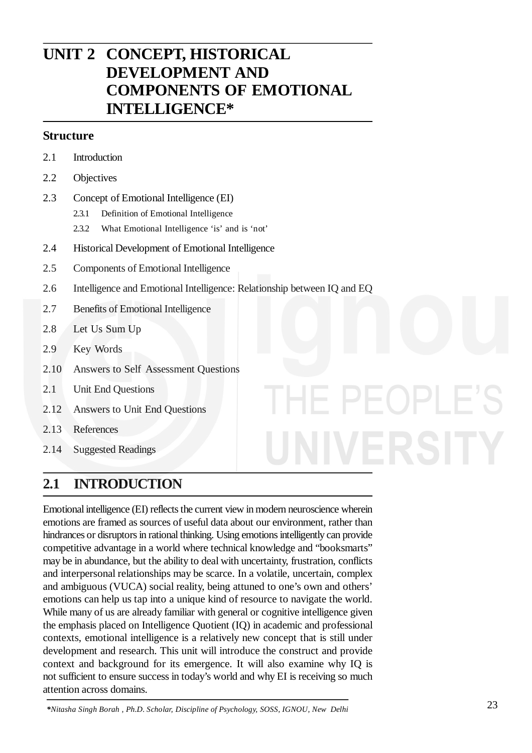# **UNIT 2 CONCEPT, HISTORICAL DEVELOPMENT AND COMPONENTS OF EMOTIONAL INTELLIGENCE\***

### **Structure**

- 2.1 Introduction
- 2.2 Objectives
- 2.3 Concept of Emotional Intelligence (EI)
	- 2.3.1 Definition of Emotional Intelligence
	- 2.3.2 What Emotional Intelligence 'is' and is 'not'
- 2.4 Historical Development of Emotional Intelligence
- 2.5 Components of Emotional Intelligence
- 2.6 Intelligence and Emotional Intelligence: Relationship between IQ and EQ
- 2.7 Benefits of Emotional Intelligence
- 2.8 Let Us Sum Up
- 2.9 Key Words
- 2.10 Answers to Self Assessment Questions
- 2.1 Unit End Questions
- 2.12 Answers to Unit End Questions
- 2.13 References
- 2.14 Suggested Readings

# **2.1 INTRODUCTION**

Emotional intelligence (EI) reflects the current view in modern neuroscience wherein emotions are framed as sources of useful data about our environment, rather than hindrances or disruptors in rational thinking. Using emotions intelligently can provide competitive advantage in a world where technical knowledge and "booksmarts" may be in abundance, but the ability to deal with uncertainty, frustration, conflicts and interpersonal relationships may be scarce. In a volatile, uncertain, complex and ambiguous (VUCA) social reality, being attuned to one's own and others' emotions can help us tap into a unique kind of resource to navigate the world. While many of us are already familiar with general or cognitive intelligence given the emphasis placed on Intelligence Quotient (IQ) in academic and professional contexts, emotional intelligence is a relatively new concept that is still under development and research. This unit will introduce the construct and provide context and background for its emergence. It will also examine why IQ is not sufficient to ensure success in today's world and why EI is receiving so much attention across domains.

 $P$   $\vdash$   $\odot$   $P$   $\vdash$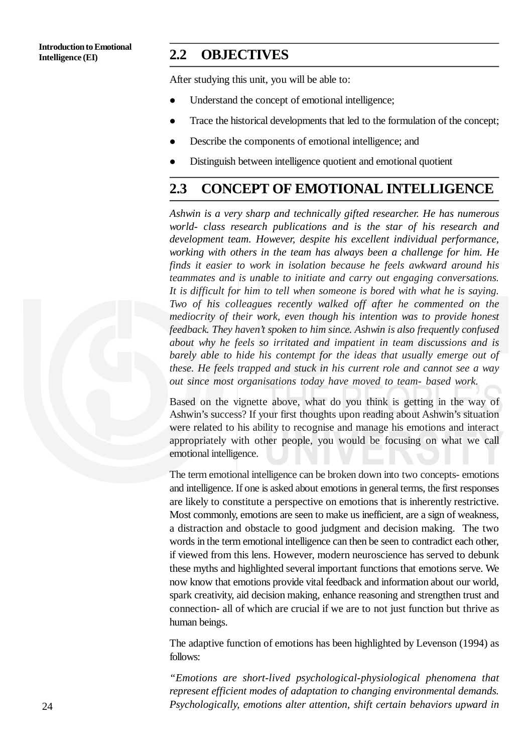### **2.2 OBJECTIVES**

After studying this unit, you will be able to:

- Understand the concept of emotional intelligence;
- Trace the historical developments that led to the formulation of the concept;
- Describe the components of emotional intelligence; and
- Distinguish between intelligence quotient and emotional quotient

## **2.3 CONCEPT OF EMOTIONAL INTELLIGENCE**

*Ashwin is a very sharp and technically gifted researcher. He has numerous world- class research publications and is the star of his research and development team. However, despite his excellent individual performance, working with others in the team has always been a challenge for him. He finds it easier to work in isolation because he feels awkward around his teammates and is unable to initiate and carry out engaging conversations. It is difficult for him to tell when someone is bored with what he is saying. Two of his colleagues recently walked off after he commented on the mediocrity of their work, even though his intention was to provide honest feedback. They haven't spoken to him since. Ashwin is also frequently confused about why he feels so irritated and impatient in team discussions and is barely able to hide his contempt for the ideas that usually emerge out of these. He feels trapped and stuck in his current role and cannot see a way out since most organisations today have moved to team- based work.*

Based on the vignette above, what do you think is getting in the way of Ashwin's success? If your first thoughts upon reading about Ashwin's situation were related to his ability to recognise and manage his emotions and interact appropriately with other people, you would be focusing on what we call emotional intelligence.

The term emotional intelligence can be broken down into two concepts- emotions and intelligence. If one is asked about emotions in general terms, the first responses are likely to constitute a perspective on emotions that is inherently restrictive. Most commonly, emotions are seen to make us inefficient, are a sign of weakness, a distraction and obstacle to good judgment and decision making. The two words in the term emotional intelligence can then be seen to contradict each other, if viewed from this lens. However, modern neuroscience has served to debunk these myths and highlighted several important functions that emotions serve. We now know that emotions provide vital feedback and information about our world, spark creativity, aid decision making, enhance reasoning and strengthen trust and connection- all of which are crucial if we are to not just function but thrive as human beings.

The adaptive function of emotions has been highlighted by Levenson (1994) as follows:

*"Emotions are short-lived psychological-physiological phenomena that represent efficient modes of adaptation to changing environmental demands. Psychologically, emotions alter attention, shift certain behaviors upward in*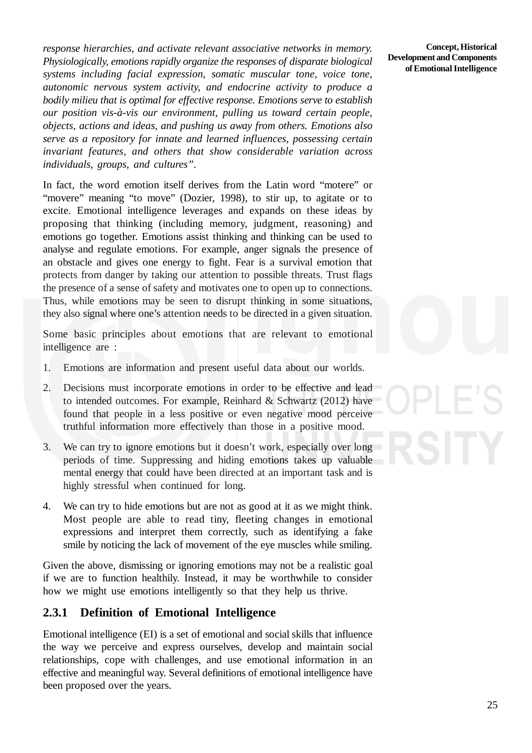*response hierarchies, and activate relevant associative networks in memory. Physiologically, emotions rapidly organize the responses of disparate biological systems including facial expression, somatic muscular tone, voice tone, autonomic nervous system activity, and endocrine activity to produce a bodily milieu that is optimal for effective response. Emotions serve to establish our position vis-à-vis our environment, pulling us toward certain people, objects, actions and ideas, and pushing us away from others. Emotions also serve as a repository for innate and learned influences, possessing certain invariant features, and others that show considerable variation across individuals, groups, and cultures".*

In fact, the word emotion itself derives from the Latin word "motere" or "movere" meaning "to move" (Dozier, 1998), to stir up, to agitate or to excite. Emotional intelligence leverages and expands on these ideas by proposing that thinking (including memory, judgment, reasoning) and emotions go together. Emotions assist thinking and thinking can be used to analyse and regulate emotions. For example, anger signals the presence of an obstacle and gives one energy to fight. Fear is a survival emotion that protects from danger by taking our attention to possible threats. Trust flags the presence of a sense of safety and motivates one to open up to connections. Thus, while emotions may be seen to disrupt thinking in some situations, they also signal where one's attention needs to be directed in a given situation.

Some basic principles about emotions that are relevant to emotional intelligence are :

- 1. Emotions are information and present useful data about our worlds.
- 2. Decisions must incorporate emotions in order to be effective and lead to intended outcomes. For example, Reinhard & Schwartz (2012) have found that people in a less positive or even negative mood perceive truthful information more effectively than those in a positive mood.
- 3. We can try to ignore emotions but it doesn't work, especially over long periods of time. Suppressing and hiding emotions takes up valuable mental energy that could have been directed at an important task and is highly stressful when continued for long.
- 4. We can try to hide emotions but are not as good at it as we might think. Most people are able to read tiny, fleeting changes in emotional expressions and interpret them correctly, such as identifying a fake smile by noticing the lack of movement of the eye muscles while smiling.

Given the above, dismissing or ignoring emotions may not be a realistic goal if we are to function healthily. Instead, it may be worthwhile to consider how we might use emotions intelligently so that they help us thrive.

### **2.3.1 Definition of Emotional Intelligence**

Emotional intelligence (EI) is a set of emotional and social skills that influence the way we perceive and express ourselves, develop and maintain social relationships, cope with challenges, and use emotional information in an effective and meaningful way. Several definitions of emotional intelligence have been proposed over the years.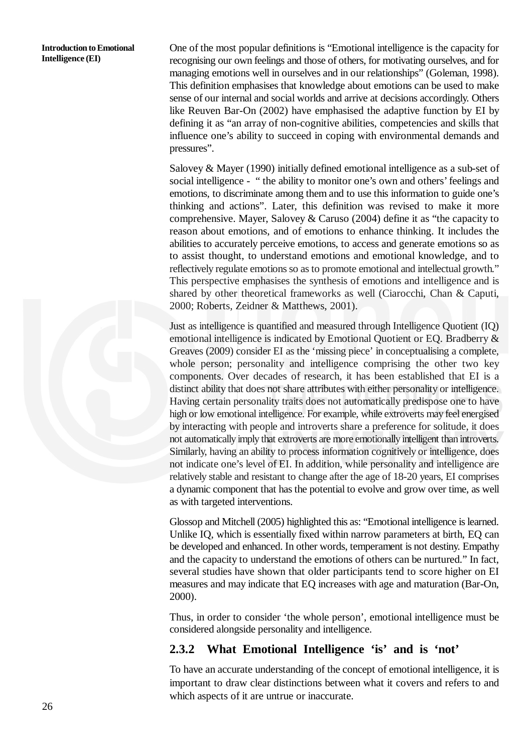One of the most popular definitions is "Emotional intelligence is the capacity for recognising our own feelings and those of others, for motivating ourselves, and for managing emotions well in ourselves and in our relationships" (Goleman, 1998). This definition emphasises that knowledge about emotions can be used to make sense of our internal and social worlds and arrive at decisions accordingly. Others like Reuven Bar-On (2002) have emphasised the adaptive function by EI by defining it as "an array of non-cognitive abilities, competencies and skills that influence one's ability to succeed in coping with environmental demands and pressures".

Salovey & Mayer (1990) initially defined emotional intelligence as a sub-set of social intelligence - " the ability to monitor one's own and others' feelings and emotions, to discriminate among them and to use this information to guide one's thinking and actions". Later, this definition was revised to make it more comprehensive. Mayer, Salovey & Caruso (2004) define it as "the capacity to reason about emotions, and of emotions to enhance thinking. It includes the abilities to accurately perceive emotions, to access and generate emotions so as to assist thought, to understand emotions and emotional knowledge, and to reflectively regulate emotions so as to promote emotional and intellectual growth." This perspective emphasises the synthesis of emotions and intelligence and is shared by other theoretical frameworks as well (Ciarocchi, Chan & Caputi, 2000; Roberts, Zeidner & Matthews, 2001).

Just as intelligence is quantified and measured through Intelligence Quotient (IQ) emotional intelligence is indicated by Emotional Quotient or EQ. Bradberry & Greaves (2009) consider EI as the 'missing piece' in conceptualising a complete, whole person; personality and intelligence comprising the other two key components. Over decades of research, it has been established that EI is a distinct ability that does not share attributes with either personality or intelligence. Having certain personality traits does not automatically predispose one to have high or low emotional intelligence. For example, while extroverts may feel energised by interacting with people and introverts share a preference for solitude, it does not automatically imply that extroverts are more emotionally intelligent than introverts. Similarly, having an ability to process information cognitively or intelligence, does not indicate one's level of EI. In addition, while personality and intelligence are relatively stable and resistant to change after the age of 18-20 years, EI comprises a dynamic component that has the potential to evolve and grow over time, as well as with targeted interventions.

Glossop and Mitchell (2005) highlighted this as: "Emotional intelligence is learned. Unlike IQ, which is essentially fixed within narrow parameters at birth, EQ can be developed and enhanced. In other words, temperament is not destiny. Empathy and the capacity to understand the emotions of others can be nurtured." In fact, several studies have shown that older participants tend to score higher on EI measures and may indicate that EQ increases with age and maturation (Bar-On, 2000).

Thus, in order to consider 'the whole person', emotional intelligence must be considered alongside personality and intelligence.

### **2.3.2 What Emotional Intelligence 'is' and is 'not'**

To have an accurate understanding of the concept of emotional intelligence, it is important to draw clear distinctions between what it covers and refers to and which aspects of it are untrue or inaccurate.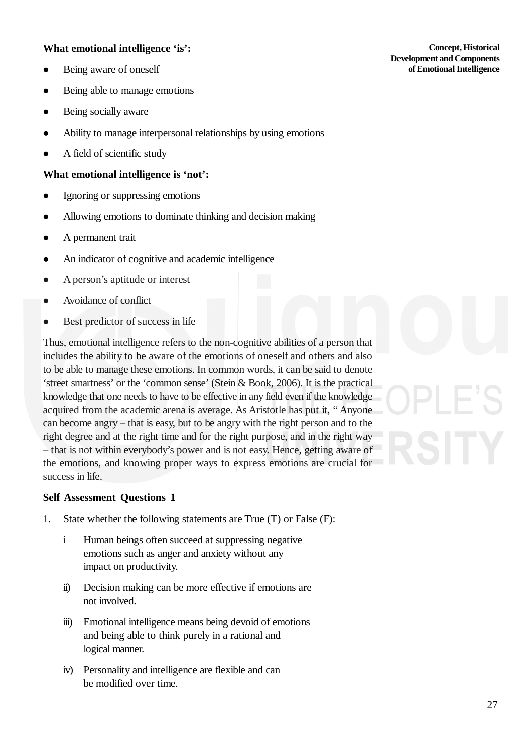### **What emotional intelligence 'is':**

- Being aware of oneself
- Being able to manage emotions
- Being socially aware
- Ability to manage interpersonal relationships by using emotions
- A field of scientific study

### **What emotional intelligence is 'not':**

- Ignoring or suppressing emotions
- Allowing emotions to dominate thinking and decision making
- A permanent trait
- An indicator of cognitive and academic intelligence
- A person's aptitude or interest
- Avoidance of conflict
- Best predictor of success in life

Thus, emotional intelligence refers to the non-cognitive abilities of a person that includes the ability to be aware of the emotions of oneself and others and also to be able to manage these emotions. In common words, it can be said to denote 'street smartness' or the 'common sense' (Stein & Book, 2006). It is the practical knowledge that one needs to have to be effective in any field even if the knowledge acquired from the academic arena is average. As Aristotle has put it, " Anyone can become angry – that is easy, but to be angry with the right person and to the right degree and at the right time and for the right purpose, and in the right way – that is not within everybody's power and is not easy. Hence, getting aware of the emotions, and knowing proper ways to express emotions are crucial for success in life.

### **Self Assessment Questions 1**

- 1. State whether the following statements are True (T) or False (F):
	- i Human beings often succeed at suppressing negative emotions such as anger and anxiety without any impact on productivity.
	- ii) Decision making can be more effective if emotions are not involved.
	- iii) Emotional intelligence means being devoid of emotions and being able to think purely in a rational and logical manner.
	- iv) Personality and intelligence are flexible and can be modified over time.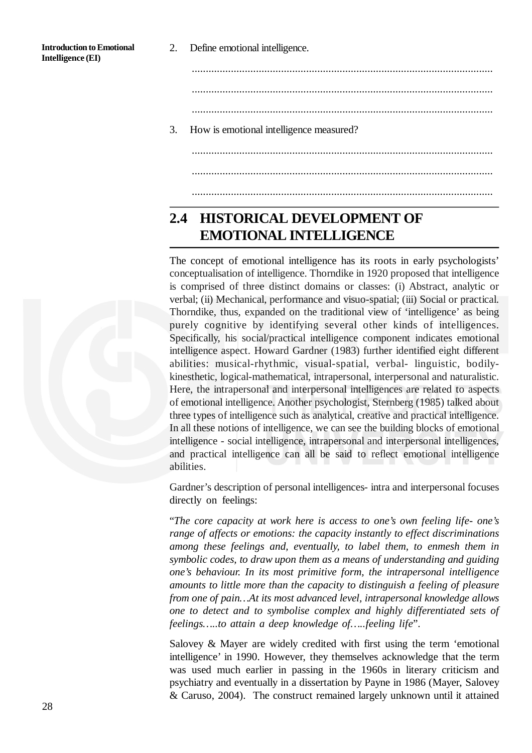2. Define emotional intelligence.

............................................................................................................ ............................................................................................................

............................................................................................................

............................................................................................................

............................................................................................................

............................................................................................................

3. How is emotional intelligence measured?

# **2.4 HISTORICAL DEVELOPMENT OF EMOTIONAL INTELLIGENCE**

The concept of emotional intelligence has its roots in early psychologists' conceptualisation of intelligence. Thorndike in 1920 proposed that intelligence is comprised of three distinct domains or classes: (i) Abstract, analytic or verbal; (ii) Mechanical, performance and visuo-spatial; (iii) Social or practical. Thorndike, thus, expanded on the traditional view of 'intelligence' as being purely cognitive by identifying several other kinds of intelligences. Specifically, his social/practical intelligence component indicates emotional intelligence aspect. Howard Gardner (1983) further identified eight different abilities: musical-rhythmic, visual-spatial, verbal- linguistic, bodilykinesthetic, logical-mathematical, intrapersonal, interpersonal and naturalistic. Here, the intrapersonal and interpersonal intelligences are related to aspects of emotional intelligence. Another psychologist, Sternberg (1985) talked about three types of intelligence such as analytical, creative and practical intelligence. In all these notions of intelligence, we can see the building blocks of emotional intelligence - social intelligence, intrapersonal and interpersonal intelligences, and practical intelligence can all be said to reflect emotional intelligence abilities.

Gardner's description of personal intelligences- intra and interpersonal focuses directly on feelings:

"*The core capacity at work here is access to one's own feeling life- one's range of affects or emotions: the capacity instantly to effect discriminations among these feelings and, eventually, to label them, to enmesh them in symbolic codes, to draw upon them as a means of understanding and guiding one's behaviour. In its most primitive form, the intrapersonal intelligence amounts to little more than the capacity to distinguish a feeling of pleasure from one of pain…At its most advanced level, intrapersonal knowledge allows one to detect and to symbolise complex and highly differentiated sets of feelings…..to attain a deep knowledge of…..feeling life*".

Salovey & Mayer are widely credited with first using the term 'emotional intelligence' in 1990. However, they themselves acknowledge that the term was used much earlier in passing in the 1960s in literary criticism and psychiatry and eventually in a dissertation by Payne in 1986 (Mayer, Salovey & Caruso, 2004). The construct remained largely unknown until it attained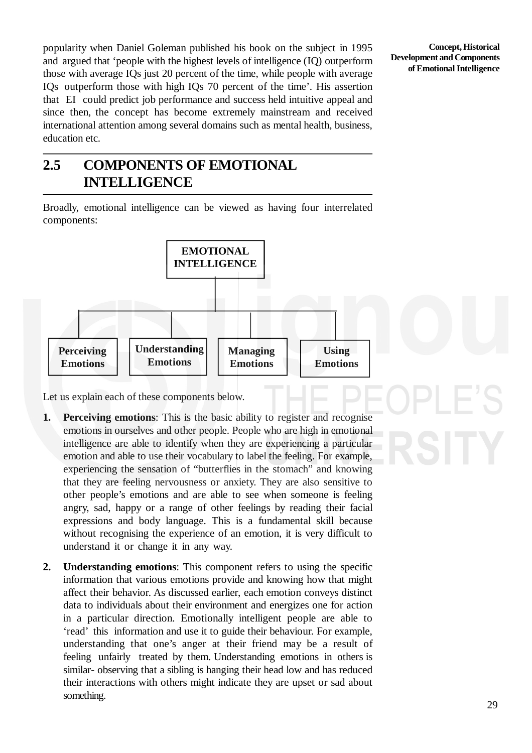popularity when Daniel Goleman published his book on the subject in 1995 and argued that 'people with the highest levels of intelligence (IQ) outperform those with average IQs just 20 percent of the time, while people with average IQs outperform those with high IQs 70 percent of the time'. His assertion that EI could predict job performance and success held intuitive appeal and since then, the concept has become extremely mainstream and received international attention among several domains such as mental health, business, education etc.

### **Concept, Historical Development and Components of Emotional Intelligence**

## **2.5 COMPONENTS OF EMOTIONAL INTELLIGENCE**

Broadly, emotional intelligence can be viewed as having four interrelated components:



Let us explain each of these components below.

- **1. Perceiving emotions**: This is the basic ability to register and recognise emotions in ourselves and other people. People who are high in emotional intelligence are able to identify when they are experiencing a particular emotion and able to use their vocabulary to label the feeling. For example, experiencing the sensation of "butterflies in the stomach" and knowing that they are feeling nervousness or anxiety. They are also sensitive to other people's emotions and are able to see when someone is feeling angry, sad, happy or a range of other feelings by reading their facial expressions and body language. This is a fundamental skill because without recognising the experience of an emotion, it is very difficult to understand it or change it in any way.
- **2. Understanding emotions**: This component refers to using the specific information that various emotions provide and knowing how that might affect their behavior. As discussed earlier, each emotion conveys distinct data to individuals about their environment and energizes one for action in a particular direction. Emotionally intelligent people are able to 'read' this information and use it to guide their behaviour. For example, understanding that one's anger at their friend may be a result of feeling unfairly treated by them. Understanding emotions in others is similar- observing that a sibling is hanging their head low and has reduced their interactions with others might indicate they are upset or sad about something.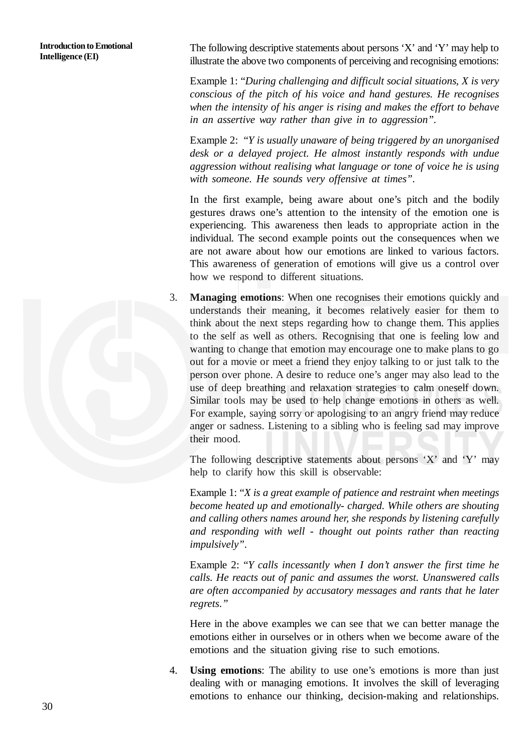The following descriptive statements about persons 'X' and 'Y' may help to illustrate the above two components of perceiving and recognising emotions:

Example 1: "*During challenging and difficult social situations, X is very conscious of the pitch of his voice and hand gestures. He recognises when the intensity of his anger is rising and makes the effort to behave in an assertive way rather than give in to aggression".*

Example 2: "*Y is usually unaware of being triggered by an unorganised desk or a delayed project. He almost instantly responds with undue aggression without realising what language or tone of voice he is using with someone. He sounds very offensive at times".*

In the first example, being aware about one's pitch and the bodily gestures draws one's attention to the intensity of the emotion one is experiencing. This awareness then leads to appropriate action in the individual. The second example points out the consequences when we are not aware about how our emotions are linked to various factors. This awareness of generation of emotions will give us a control over how we respond to different situations.

3. **Managing emotions**: When one recognises their emotions quickly and understands their meaning, it becomes relatively easier for them to think about the next steps regarding how to change them. This applies to the self as well as others. Recognising that one is feeling low and wanting to change that emotion may encourage one to make plans to go out for a movie or meet a friend they enjoy talking to or just talk to the person over phone. A desire to reduce one's anger may also lead to the use of deep breathing and relaxation strategies to calm oneself down. Similar tools may be used to help change emotions in others as well. For example, saying sorry or apologising to an angry friend may reduce anger or sadness. Listening to a sibling who is feeling sad may improve their mood.

The following descriptive statements about persons 'X' and 'Y' may help to clarify how this skill is observable:

Example 1: "*X is a great example of patience and restraint when meetings become heated up and emotionally- charged. While others are shouting and calling others names around her, she responds by listening carefully and responding with well - thought out points rather than reacting impulsively".*

Example 2: "*Y calls incessantly when I don't answer the first time he calls. He reacts out of panic and assumes the worst. Unanswered calls are often accompanied by accusatory messages and rants that he later regrets."*

Here in the above examples we can see that we can better manage the emotions either in ourselves or in others when we become aware of the emotions and the situation giving rise to such emotions.

4. **Using emotions**: The ability to use one's emotions is more than just dealing with or managing emotions. It involves the skill of leveraging emotions to enhance our thinking, decision-making and relationships.

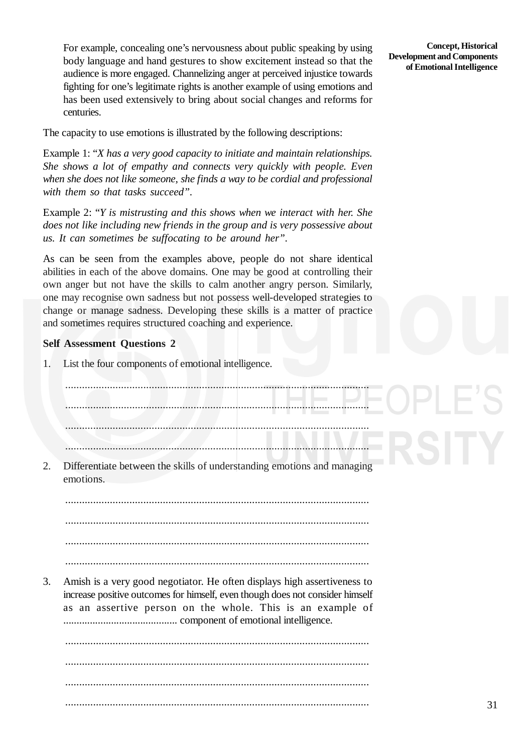For example, concealing one's nervousness about public speaking by using body language and hand gestures to show excitement instead so that the audience is more engaged. Channelizing anger at perceived injustice towards fighting for one's legitimate rights is another example of using emotions and has been used extensively to bring about social changes and reforms for centuries.

The capacity to use emotions is illustrated by the following descriptions:

Example 1: "*X has a very good capacity to initiate and maintain relationships. She shows a lot of empathy and connects very quickly with people. Even when she does not like someone, she finds a way to be cordial and professional with them so that tasks succeed".*

Example 2: "*Y is mistrusting and this shows when we interact with her. She does not like including new friends in the group and is very possessive about us. It can sometimes be suffocating to be around her".*

As can be seen from the examples above, people do not share identical abilities in each of the above domains. One may be good at controlling their own anger but not have the skills to calm another angry person. Similarly, one may recognise own sadness but not possess well-developed strategies to change or manage sadness. Developing these skills is a matter of practice and sometimes requires structured coaching and experience.

### **Self Assessment Questions 2**

1. List the four components of emotional intelligence.

............................................................................................................. ............................................................................................................. ............................................................................................................. .............................................................................................................

2. Differentiate between the skills of understanding emotions and managing emotions.

............................................................................................................. ............................................................................................................. .............................................................................................................

.............................................................................................................

3. Amish is a very good negotiator. He often displays high assertiveness to increase positive outcomes for himself, even though does not consider himself as an assertive person on the whole. This is an example of ........................................... component of emotional intelligence.

............................................................................................................. ............................................................................................................. ............................................................................................................. .............................................................................................................

**Concept, Historical Development and Components of Emotional Intelligence**

31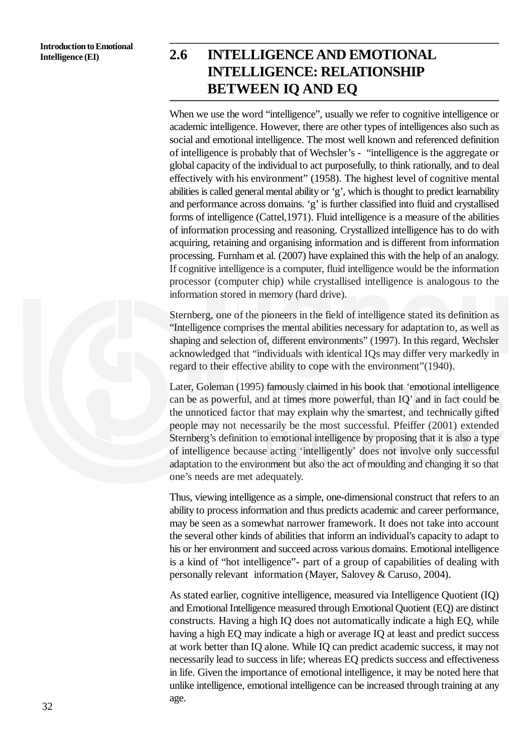# **2.6 INTELLIGENCE AND EMOTIONAL INTELLIGENCE: RELATIONSHIP BETWEEN IQ AND EQ**

When we use the word "intelligence", usually we refer to cognitive intelligence or academic intelligence. However, there are other types of intelligences also such as social and emotional intelligence. The most well known and referenced definition of intelligence is probably that of Wechsler's - "intelligence is the aggregate or global capacity of the individual to act purposefully, to think rationally, and to deal effectively with his environment" (1958). The highest level of cognitive mental abilities is called general mental ability or 'g', which is thought to predict learnability and performance across domains. 'g' is further classified into fluid and crystallised forms of intelligence (Cattel,1971). Fluid intelligence is a measure of the abilities of information processing and reasoning. Crystallized intelligence has to do with acquiring, retaining and organising information and is different from information processing. Furnham et al. (2007) have explained this with the help of an analogy. If cognitive intelligence is a computer, fluid intelligence would be the information processor (computer chip) while crystallised intelligence is analogous to the information stored in memory (hard drive).

Sternberg, one of the pioneers in the field of intelligence stated its definition as "Intelligence comprises the mental abilities necessary for adaptation to, as well as shaping and selection of, different environments" (1997). In this regard, Wechsler acknowledged that "individuals with identical IQs may differ very markedly in regard to their effective ability to cope with the environment"(1940).

Later, Goleman (1995) famously claimed in his book that 'emotional intelligence can be as powerful, and at times more powerful, than IQ' and in fact could be the unnoticed factor that may explain why the smartest, and technically gifted people may not necessarily be the most successful. Pfeiffer (2001) extended Sternberg's definition to emotional intelligence by proposing that it is also a type of intelligence because acting 'intelligently' does not involve only successful adaptation to the environment but also the act of moulding and changing it so that one's needs are met adequately.

Thus, viewing intelligence as a simple, one-dimensional construct that refers to an ability to process information and thus predicts academic and career performance, may be seen as a somewhat narrower framework. It does not take into account the several other kinds of abilities that inform an individual's capacity to adapt to his or her environment and succeed across various domains. Emotional intelligence is a kind of "hot intelligence"- part of a group of capabilities of dealing with personally relevant information (Mayer, Salovey & Caruso, 2004).

As stated earlier, cognitive intelligence, measured via Intelligence Quotient (IQ) and Emotional Intelligence measured through Emotional Quotient (EQ) are distinct constructs. Having a high IQ does not automatically indicate a high EQ, while having a high EQ may indicate a high or average IQ at least and predict success at work better than IQ alone. While IQ can predict academic success, it may not necessarily lead to success in life; whereas EQ predicts success and effectiveness in life. Given the importance of emotional intelligence, it may be noted here that unlike intelligence, emotional intelligence can be increased through training at any age.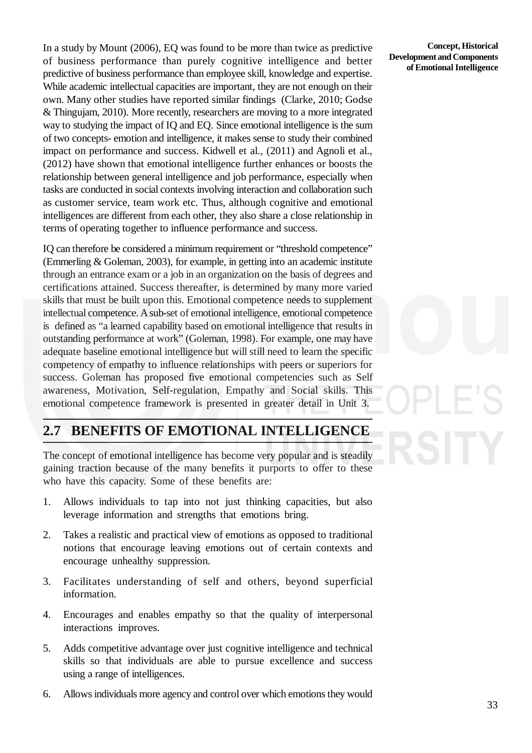In a study by Mount (2006), EQ was found to be more than twice as predictive of business performance than purely cognitive intelligence and better predictive of business performance than employee skill, knowledge and expertise. While academic intellectual capacities are important, they are not enough on their own. Many other studies have reported similar findings (Clarke, 2010; Godse & Thingujam, 2010). More recently, researchers are moving to a more integrated way to studying the impact of IQ and EQ. Since emotional intelligence is the sum of two concepts- emotion and intelligence, it makes sense to study their combined impact on performance and success. Kidwell et al., (2011) and Agnoli et al., (2012) have shown that emotional intelligence further enhances or boosts the relationship between general intelligence and job performance, especially when tasks are conducted in social contexts involving interaction and collaboration such as customer service, team work etc. Thus, although cognitive and emotional intelligences are different from each other, they also share a close relationship in terms of operating together to influence performance and success.

IQ can therefore be considered a minimum requirement or "threshold competence" (Emmerling & Goleman, 2003), for example, in getting into an academic institute through an entrance exam or a job in an organization on the basis of degrees and certifications attained. Success thereafter, is determined by many more varied skills that must be built upon this. Emotional competence needs to supplement intellectual competence. Asub-set of emotional intelligence, emotional competence is defined as "a learned capability based on emotional intelligence that results in outstanding performance at work" (Goleman, 1998). For example, one may have adequate baseline emotional intelligence but will still need to learn the specific competency of empathy to influence relationships with peers or superiors for success. Goleman has proposed five emotional competencies such as Self awareness, Motivation, Self-regulation, Empathy and Social skills. This emotional competence framework is presented in greater detail in Unit 3.

# **2.7 BENEFITS OF EMOTIONAL INTELLIGENCE**

The concept of emotional intelligence has become very popular and is steadily gaining traction because of the many benefits it purports to offer to these who have this capacity. Some of these benefits are:

- 1. Allows individuals to tap into not just thinking capacities, but also leverage information and strengths that emotions bring.
- 2. Takes a realistic and practical view of emotions as opposed to traditional notions that encourage leaving emotions out of certain contexts and encourage unhealthy suppression.
- 3. Facilitates understanding of self and others, beyond superficial information.
- 4. Encourages and enables empathy so that the quality of interpersonal interactions improves.
- 5. Adds competitive advantage over just cognitive intelligence and technical skills so that individuals are able to pursue excellence and success using a range of intelligences.
- 6. Allows individuals more agency and control over which emotions they would

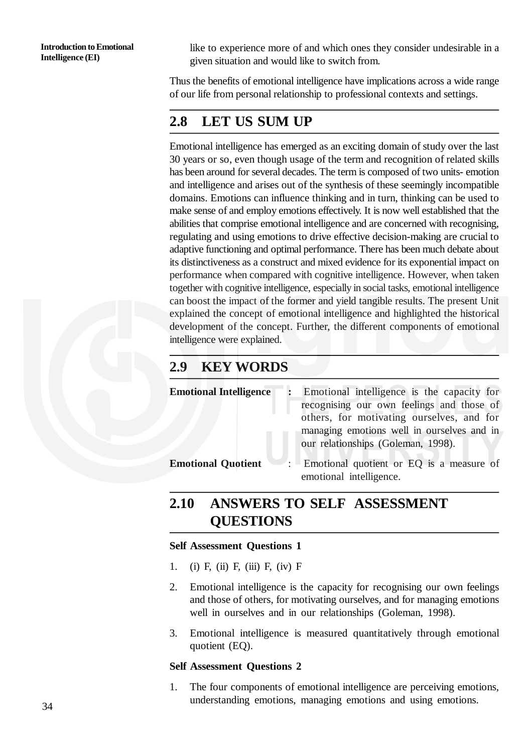like to experience more of and which ones they consider undesirable in a given situation and would like to switch from.

Thus the benefits of emotional intelligence have implications across a wide range of our life from personal relationship to professional contexts and settings.

## **2.8 LET US SUM UP**

Emotional intelligence has emerged as an exciting domain of study over the last 30 years or so, even though usage of the term and recognition of related skills has been around for several decades. The term is composed of two units- emotion and intelligence and arises out of the synthesis of these seemingly incompatible domains. Emotions can influence thinking and in turn, thinking can be used to make sense of and employ emotions effectively. It is now well established that the abilities that comprise emotional intelligence and are concerned with recognising, regulating and using emotions to drive effective decision-making are crucial to adaptive functioning and optimal performance. There has been much debate about its distinctiveness as a construct and mixed evidence for its exponential impact on performance when compared with cognitive intelligence. However, when taken together with cognitive intelligence, especially in social tasks, emotional intelligence can boost the impact of the former and yield tangible results. The present Unit explained the concept of emotional intelligence and highlighted the historical development of the concept. Further, the different components of emotional intelligence were explained.

## **2.9 KEY WORDS**

| <b>Emotional Intelligence</b> | Emotional intelligence is the capacity for<br>recognising our own feelings and those of<br>others, for motivating ourselves, and for<br>managing emotions well in ourselves and in<br>our relationships (Goleman, 1998). |
|-------------------------------|--------------------------------------------------------------------------------------------------------------------------------------------------------------------------------------------------------------------------|
| <b>Emotional Quotient</b>     | : Emotional quotient or EQ is a measure of<br>emotional intelligence.                                                                                                                                                    |

## **2.10 ANSWERS TO SELF ASSESSMENT QUESTIONS**

### **Self Assessment Questions 1**

- 1. (i) F, (ii) F, (iii) F, (iv) F
- 2. Emotional intelligence is the capacity for recognising our own feelings and those of others, for motivating ourselves, and for managing emotions well in ourselves and in our relationships (Goleman, 1998).
- 3. Emotional intelligence is measured quantitatively through emotional quotient (EQ).

### **Self Assessment Questions 2**

1. The four components of emotional intelligence are perceiving emotions, understanding emotions, managing emotions and using emotions.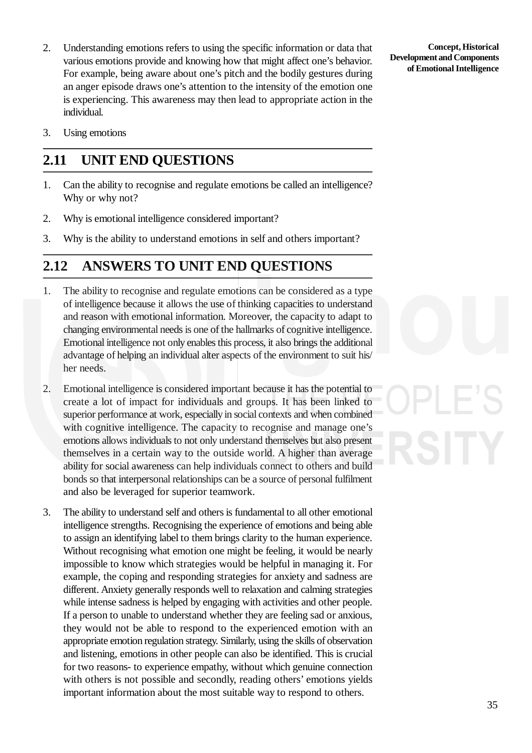- 2. Understanding emotions refers to using the specific information or data that various emotions provide and knowing how that might affect one's behavior. For example, being aware about one's pitch and the bodily gestures during an anger episode draws one's attention to the intensity of the emotion one is experiencing. This awareness may then lead to appropriate action in the individual.
- 3. Using emotions

## **2.11 UNIT END QUESTIONS**

- 1. Can the ability to recognise and regulate emotions be called an intelligence? Why or why not?
- 2. Why is emotional intelligence considered important?
- 3. Why is the ability to understand emotions in self and others important?

# **2.12 ANSWERS TO UNIT END QUESTIONS**

- 1. The ability to recognise and regulate emotions can be considered as a type of intelligence because it allows the use of thinking capacities to understand and reason with emotional information. Moreover, the capacity to adapt to changing environmental needs is one of the hallmarks of cognitive intelligence. Emotional intelligence not only enables this process, it also brings the additional advantage of helping an individual alter aspects of the environment to suit his/ her needs.
- 2. Emotional intelligence is considered important because it has the potential to create a lot of impact for individuals and groups. It has been linked to superior performance at work, especially in social contexts and when combined with cognitive intelligence. The capacity to recognise and manage one's emotions allows individuals to not only understand themselves but also present themselves in a certain way to the outside world. A higher than average ability for social awareness can help individuals connect to others and build bonds so that interpersonal relationships can be a source of personal fulfilment and also be leveraged for superior teamwork.
- 3. The ability to understand self and others is fundamental to all other emotional intelligence strengths. Recognising the experience of emotions and being able to assign an identifying label to them brings clarity to the human experience. Without recognising what emotion one might be feeling, it would be nearly impossible to know which strategies would be helpful in managing it. For example, the coping and responding strategies for anxiety and sadness are different. Anxiety generally responds well to relaxation and calming strategies while intense sadness is helped by engaging with activities and other people. If a person to unable to understand whether they are feeling sad or anxious, they would not be able to respond to the experienced emotion with an appropriate emotion regulation strategy. Similarly, using the skills of observation and listening, emotions in other people can also be identified. This is crucial for two reasons- to experience empathy, without which genuine connection with others is not possible and secondly, reading others' emotions yields important information about the most suitable way to respond to others.

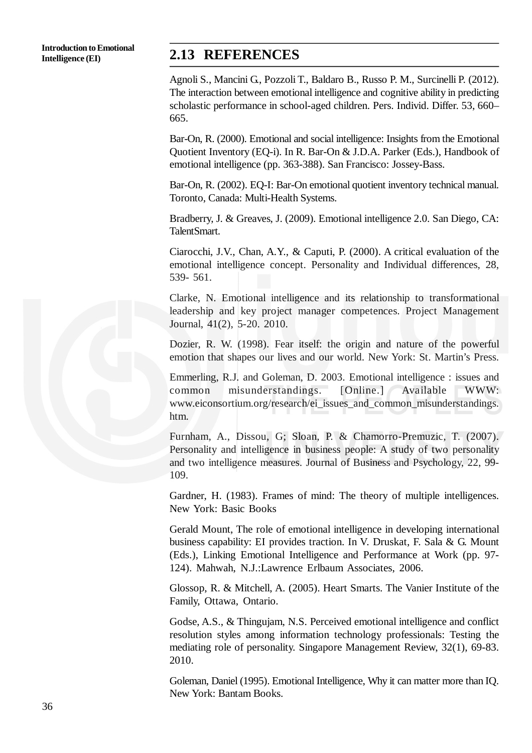### **2.13 REFERENCES**

Agnoli S., Mancini G., Pozzoli T., Baldaro B., Russo P. M., Surcinelli P. (2012). The interaction between emotional intelligence and cognitive ability in predicting scholastic performance in school-aged children. Pers. Individ. Differ. 53, 660– 665.

Bar-On, R. (2000). Emotional and social intelligence: Insights from the Emotional Quotient Inventory (EQ-i). In R. Bar-On & J.D.A. Parker (Eds.), Handbook of emotional intelligence (pp. 363-388). San Francisco: Jossey-Bass.

Bar-On, R. (2002). EQ-I: Bar-On emotional quotient inventory technical manual. Toronto, Canada: Multi-Health Systems.

Bradberry, J. & Greaves, J. (2009). Emotional intelligence 2.0. San Diego, CA: TalentSmart.

Ciarocchi, J.V., Chan, A.Y., & Caputi, P. (2000). A critical evaluation of the emotional intelligence concept. Personality and Individual differences, 28, 539- 561.

Clarke, N. Emotional intelligence and its relationship to transformational leadership and key project manager competences. Project Management Journal, 41(2), 5-20. 2010.

Dozier, R. W. (1998). Fear itself: the origin and nature of the powerful emotion that shapes our lives and our world. New York: St. Martin's Press.

Emmerling, R.J. and Goleman, D. 2003. Emotional intelligence : issues and common misunderstandings. [Online.] Available WWW: www.eiconsortium.org/research/ei\_issues\_and\_common\_misunderstandings. htm.

Furnham, A., Dissou, G; Sloan, P. & Chamorro-Premuzic, T. (2007). Personality and intelligence in business people: A study of two personality and two intelligence measures. Journal of Business and Psychology, 22, 99- 109.

Gardner, H. (1983). Frames of mind: The theory of multiple intelligences. New York: Basic Books

Gerald Mount, The role of emotional intelligence in developing international business capability: EI provides traction. In V. Druskat, F. Sala & G. Mount (Eds.), Linking Emotional Intelligence and Performance at Work (pp. 97- 124). Mahwah, N.J.:Lawrence Erlbaum Associates, 2006.

Glossop, R. & Mitchell, A. (2005). Heart Smarts. The Vanier Institute of the Family, Ottawa, Ontario.

Godse, A.S., & Thingujam, N.S. Perceived emotional intelligence and conflict resolution styles among information technology professionals: Testing the mediating role of personality. Singapore Management Review, 32(1), 69-83. 2010.

Goleman, Daniel (1995). Emotional Intelligence, Why it can matter more than IQ. New York: Bantam Books.